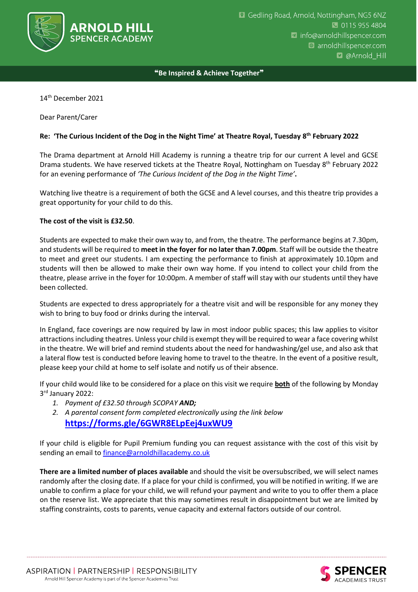

❝**Be Inspired & Achieve Together**❞

14th December 2021

Dear Parent/Carer

## **Re: 'The Curious Incident of the Dog in the Night Time' at Theatre Royal, Tuesday 8 th February 2022**

The Drama department at Arnold Hill Academy is running a theatre trip for our current A level and GCSE Drama students. We have reserved tickets at the Theatre Royal, Nottingham on Tuesday 8th February 2022 for an evening performance of *'The Curious Incident of the Dog in the Night Time'***.**

Watching live theatre is a requirement of both the GCSE and A level courses, and this theatre trip provides a great opportunity for your child to do this.

## **The cost of the visit is £32.50**.

Students are expected to make their own way to, and from, the theatre. The performance begins at 7.30pm, and students will be required to **meet in the foyer for no later than 7.00pm**. Staff will be outside the theatre to meet and greet our students. I am expecting the performance to finish at approximately 10.10pm and students will then be allowed to make their own way home. If you intend to collect your child from the theatre, please arrive in the foyer for 10:00pm. A member of staff will stay with our students until they have been collected.

Students are expected to dress appropriately for a theatre visit and will be responsible for any money they wish to bring to buy food or drinks during the interval.

In England, face coverings are now required by law in most indoor public spaces; this law applies to visitor attractions including theatres. Unless your child is exempt they will be required to wear a face covering whilst in the theatre. We will brief and remind students about the need for handwashing/gel use, and also ask that a lateral flow test is conducted before leaving home to travel to the theatre. In the event of a positive result, please keep your child at home to self isolate and notify us of their absence.

If your child would like to be considered for a place on this visit we require **both** of the following by Monday 3 rd January 2022:

- *1. Payment of £32.50 through SCOPAY AND;*
- *2. A parental consent form completed electronically using the link below* **<https://forms.gle/6GWR8ELpEej4uxWU9>**

If your child is eligible for Pupil Premium funding you can request assistance with the cost of this visit by sending an email t[o finance@arnoldhillacademy.co.uk](mailto:finance@arnoldhillacademy.co.uk)

**There are a limited number of places available** and should the visit be oversubscribed, we will select names randomly after the closing date. If a place for your child is confirmed, you will be notified in writing. If we are unable to confirm a place for your child, we will refund your payment and write to you to offer them a place on the reserve list. We appreciate that this may sometimes result in disappointment but we are limited by staffing constraints, costs to parents, venue capacity and external factors outside of our control.